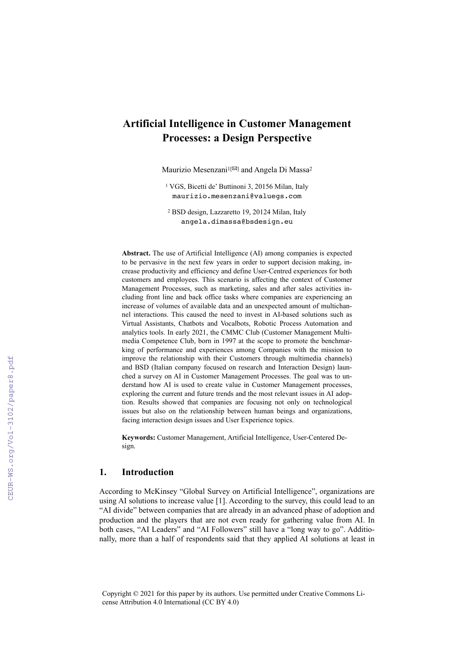# **Artificial Intelligence in Customer Management Processes: a Design Perspective**

Maurizio Mesenzani<sup>1[[22]</sup> and Angela Di Massa<sup>2</sup>

1 VGS, Bicetti de' Buttinoni 3, 20156 Milan, Italy maurizio.mesenzani@valuegs.com

2 BSD design, Lazzaretto 19, 20124 Milan, Italy angela.dimassa@bsdesign.eu

**Abstract.** The use of Artificial Intelligence (AI) among companies is expected to be pervasive in the next few years in order to support decision making, increase productivity and efficiency and define User-Centred experiences for both customers and employees. This scenario is affecting the context of Customer Management Processes, such as marketing, sales and after sales activities including front line and back office tasks where companies are experiencing an increase of volumes of available data and an unexpected amount of multichannel interactions. This caused the need to invest in AI-based solutions such as Virtual Assistants, Chatbots and Vocalbots, Robotic Process Automation and analytics tools. In early 2021, the CMMC Club (Customer Management Multimedia Competence Club, born in 1997 at the scope to promote the benchmarking of performance and experiences among Companies with the mission to improve the relationship with their Customers through multimedia channels) and BSD (Italian company focused on research and Interaction Design) launched a survey on AI in Customer Management Processes. The goal was to understand how AI is used to create value in Customer Management processes, exploring the current and future trends and the most relevant issues in AI adoption. Results showed that companies are focusing not only on technological issues but also on the relationship between human beings and organizations, facing interaction design issues and User Experience topics.

**Keywords:** Customer Management, Artificial Intelligence, User-Centered Design.

#### **1. Introduction**

According to McKinsey "Global Survey on Artificial Intelligence", organizations are using AI solutions to increase value [1]. According to the survey, this could lead to an "AI divide" between companies that are already in an advanced phase of adoption and production and the players that are not even ready for gathering value from AI. In both cases, "AI Leaders" and "AI Followers" still have a "long way to go". Additionally, more than a half of respondents said that they applied AI solutions at least in

Copyright © 2021 for this paper by its authors. Use permitted under Creative Commons License Attribution 4.0 International (CC BY 4.0)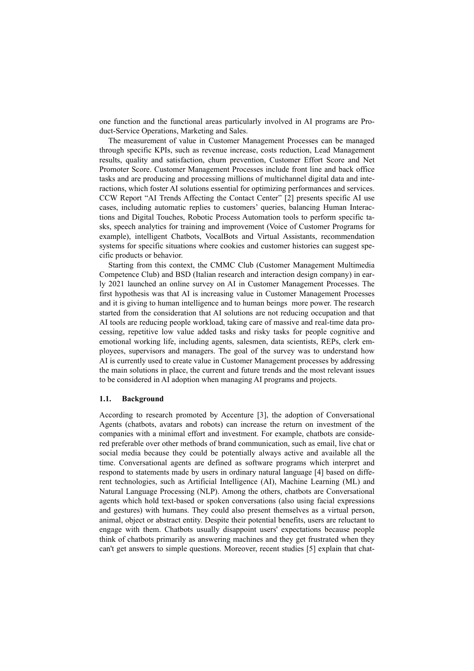one function and the functional areas particularly involved in AI programs are Product-Service Operations, Marketing and Sales.

The measurement of value in Customer Management Processes can be managed through specific KPIs, such as revenue increase, costs reduction, Lead Management results, quality and satisfaction, churn prevention, Customer Effort Score and Net Promoter Score. Customer Management Processes include front line and back office tasks and are producing and processing millions of multichannel digital data and interactions, which foster AI solutions essential for optimizing performances and services. CCW Report "AI Trends Affecting the Contact Center" [2] presents specific AI use cases, including automatic replies to customers' queries, balancing Human Interactions and Digital Touches, Robotic Process Automation tools to perform specific tasks, speech analytics for training and improvement (Voice of Customer Programs for example), intelligent Chatbots, VocalBots and Virtual Assistants, recommendation systems for specific situations where cookies and customer histories can suggest specific products or behavior.

Starting from this context, the CMMC Club (Customer Management Multimedia Competence Club) and BSD (Italian research and interaction design company) in early 2021 launched an online survey on AI in Customer Management Processes. The first hypothesis was that AI is increasing value in Customer Management Processes and it is giving to human intelligence and to human beings more power. The research started from the consideration that AI solutions are not reducing occupation and that AI tools are reducing people workload, taking care of massive and real-time data processing, repetitive low value added tasks and risky tasks for people cognitive and emotional working life, including agents, salesmen, data scientists, REPs, clerk employees, supervisors and managers. The goal of the survey was to understand how AI is currently used to create value in Customer Management processes by addressing the main solutions in place, the current and future trends and the most relevant issues to be considered in AI adoption when managing AI programs and projects.

#### **1.1. Background**

According to research promoted by Accenture [3], the adoption of Conversational Agents (chatbots, avatars and robots) can increase the return on investment of the companies with a minimal effort and investment. For example, chatbots are considered preferable over other methods of brand communication, such as email, live chat or social media because they could be potentially always active and available all the time. Conversational agents are defined as software programs which interpret and respond to statements made by users in ordinary natural language [4] based on different technologies, such as Artificial Intelligence (AI), Machine Learning (ML) and Natural Language Processing (NLP). Among the others, chatbots are Conversational agents which hold text-based or spoken conversations (also using facial expressions and gestures) with humans. They could also present themselves as a virtual person, animal, object or abstract entity. Despite their potential benefits, users are reluctant to engage with them. Chatbots usually disappoint users' expectations because people think of chatbots primarily as answering machines and they get frustrated when they can't get answers to simple questions. Moreover, recent studies [5] explain that chat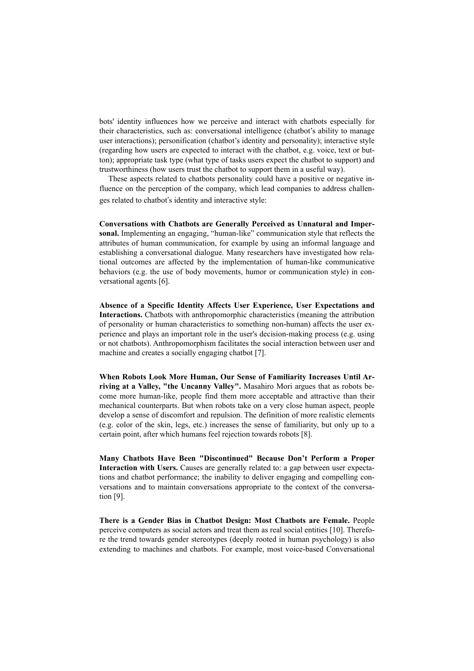bots' identity influences how we perceive and interact with chatbots especially for their characteristics, such as: conversational intelligence (chatbot's ability to manage user interactions); personification (chatbot's identity and personality); interactive style (regarding how users are expected to interact with the chatbot, e.g. voice, text or button); appropriate task type (what type of tasks users expect the chatbot to support) and trustworthiness (how users trust the chatbot to support them in a useful way).

These aspects related to chatbots personality could have a positive or negative influence on the perception of the company, which lead companies to address challenges related to chatbot's identity and interactive style:

**Conversations with Chatbots are Generally Perceived as Unnatural and Impersonal.** Implementing an engaging, "human-like" communication style that reflects the attributes of human communication, for example by using an informal language and establishing a conversational dialogue. Many researchers have investigated how relational outcomes are affected by the implementation of human-like communicative behaviors (e.g. the use of body movements, humor or communication style) in conversational agents [6].

**Absence of a Specific Identity Affects User Experience, User Expectations and Interactions.** Chatbots with anthropomorphic characteristics (meaning the attribution of personality or human characteristics to something non-human) affects the user experience and plays an important role in the user's decision-making process (e.g. using or not chatbots). Anthropomorphism facilitates the social interaction between user and machine and creates a socially engaging chatbot [7].

**When Robots Look More Human, Our Sense of Familiarity Increases Until Arriving at a Valley, "the Uncanny Valley".** Masahiro Mori argues that as robots become more human-like, people find them more acceptable and attractive than their mechanical counterparts. But when robots take on a very close human aspect, people develop a sense of discomfort and repulsion. The definition of more realistic elements (e.g. color of the skin, legs, etc.) increases the sense of familiarity, but only up to a certain point, after which humans feel rejection towards robots [8].

**Many Chatbots Have Been "Discontinued" Because Don't Perform a Proper**  Interaction with Users. Causes are generally related to: a gap between user expectations and chatbot performance; the inability to deliver engaging and compelling conversations and to maintain conversations appropriate to the context of the conversation [9].

**There is a Gender Bias in Chatbot Design: Most Chatbots are Female.** People perceive computers as social actors and treat them as real social entities [10]. Therefore the trend towards gender stereotypes (deeply rooted in human psychology) is also extending to machines and chatbots. For example, most voice-based Conversational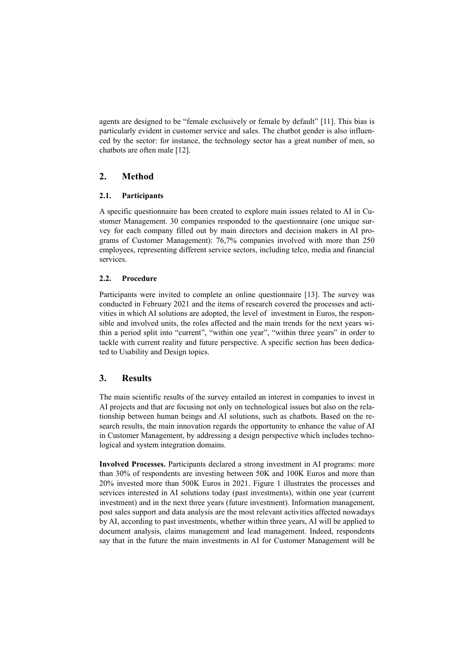agents are designed to be "female exclusively or female by default" [11]. This bias is particularly evident in customer service and sales. The chatbot gender is also influenced by the sector: for instance, the technology sector has a great number of men, so chatbots are often male [12].

# **2. Method**

### **2.1. Participants**

A specific questionnaire has been created to explore main issues related to AI in Customer Management. 30 companies responded to the questionnaire (one unique survey for each company filled out by main directors and decision makers in AI programs of Customer Management): 76,7% companies involved with more than 250 employees, representing different service sectors, including telco, media and financial services.

## **2.2. Procedure**

Participants were invited to complete an online questionnaire [13]. The survey was conducted in February 2021 and the items of research covered the processes and activities in which AI solutions are adopted, the level of investment in Euros, the responsible and involved units, the roles affected and the main trends for the next years within a period split into "current", "within one year", "within three years" in order to tackle with current reality and future perspective. A specific section has been dedicated to Usability and Design topics.

# **3. Results**

The main scientific results of the survey entailed an interest in companies to invest in AI projects and that are focusing not only on technological issues but also on the relationship between human beings and AI solutions, such as chatbots. Based on the research results, the main innovation regards the opportunity to enhance the value of AI in Customer Management, by addressing a design perspective which includes technological and system integration domains.

**Involved Processes.** Participants declared a strong investment in AI programs: more than 30% of respondents are investing between 50K and 100K Euros and more than 20% invested more than 500K Euros in 2021. Figure 1 illustrates the processes and services interested in AI solutions today (past investments), within one year (current investment) and in the next three years (future investment). Information management, post sales support and data analysis are the most relevant activities affected nowadays by AI, according to past investments, whether within three years, AI will be applied to document analysis, claims management and lead management. Indeed, respondents say that in the future the main investments in AI for Customer Management will be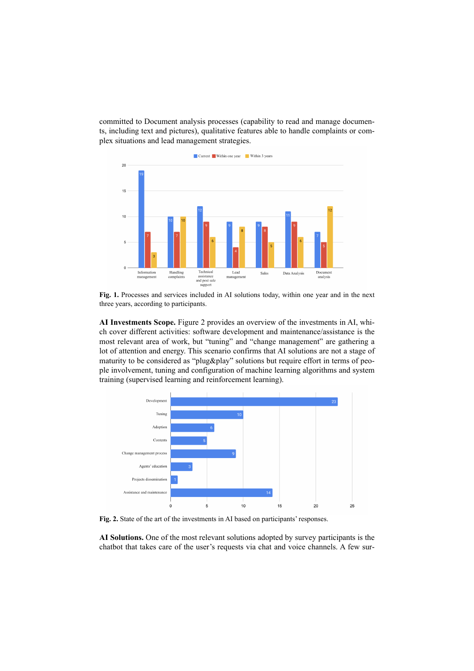committed to Document analysis processes (capability to read and manage documents, including text and pictures), qualitative features able to handle complaints or complex situations and lead management strategies.



**Fig. 1.** Processes and services included in AI solutions today, within one year and in the next three years, according to participants.

**AI Investments Scope.** Figure 2 provides an overview of the investments in AI, which cover different activities: software development and maintenance/assistance is the most relevant area of work, but "tuning" and "change management" are gathering a lot of attention and energy. This scenario confirms that AI solutions are not a stage of maturity to be considered as "plug&play" solutions but require effort in terms of people involvement, tuning and configuration of machine learning algorithms and system training (supervised learning and reinforcement learning).



**Fig. 2.** State of the art of the investments in AI based on participants' responses.

**AI Solutions.** One of the most relevant solutions adopted by survey participants is the chatbot that takes care of the user's requests via chat and voice channels. A few sur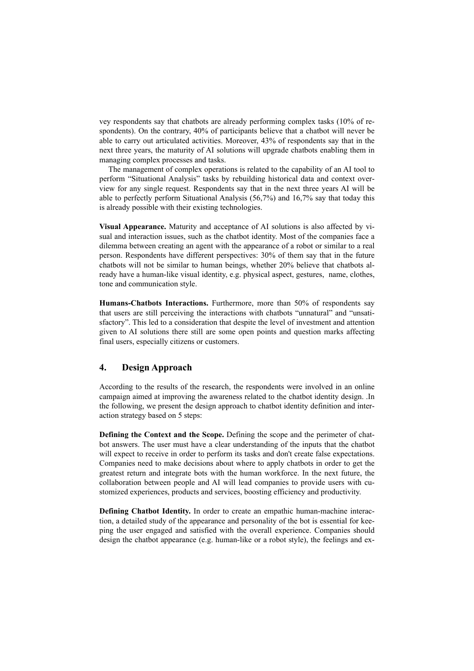vey respondents say that chatbots are already performing complex tasks (10% of respondents). On the contrary, 40% of participants believe that a chatbot will never be able to carry out articulated activities. Moreover, 43% of respondents say that in the next three years, the maturity of AI solutions will upgrade chatbots enabling them in managing complex processes and tasks.

The management of complex operations is related to the capability of an AI tool to perform "Situational Analysis" tasks by rebuilding historical data and context overview for any single request. Respondents say that in the next three years AI will be able to perfectly perform Situational Analysis (56,7%) and 16,7% say that today this is already possible with their existing technologies.

**Visual Appearance.** Maturity and acceptance of AI solutions is also affected by visual and interaction issues, such as the chatbot identity. Most of the companies face a dilemma between creating an agent with the appearance of a robot or similar to a real person. Respondents have different perspectives: 30% of them say that in the future chatbots will not be similar to human beings, whether 20% believe that chatbots already have a human-like visual identity, e.g. physical aspect, gestures, name, clothes, tone and communication style.

**Humans-Chatbots Interactions.** Furthermore, more than 50% of respondents say that users are still perceiving the interactions with chatbots "unnatural" and "unsatisfactory". This led to a consideration that despite the level of investment and attention given to AI solutions there still are some open points and question marks affecting final users, especially citizens or customers.

# **4. Design Approach**

According to the results of the research, the respondents were involved in an online campaign aimed at improving the awareness related to the chatbot identity design. .In the following, we present the design approach to chatbot identity definition and interaction strategy based on 5 steps:

**Defining the Context and the Scope.** Defining the scope and the perimeter of chatbot answers. The user must have a clear understanding of the inputs that the chatbot will expect to receive in order to perform its tasks and don't create false expectations. Companies need to make decisions about where to apply chatbots in order to get the greatest return and integrate bots with the human workforce. In the next future, the collaboration between people and AI will lead companies to provide users with customized experiences, products and services, boosting efficiency and productivity.

**Defining Chatbot Identity.** In order to create an empathic human-machine interaction, a detailed study of the appearance and personality of the bot is essential for keeping the user engaged and satisfied with the overall experience. Companies should design the chatbot appearance (e.g. human-like or a robot style), the feelings and ex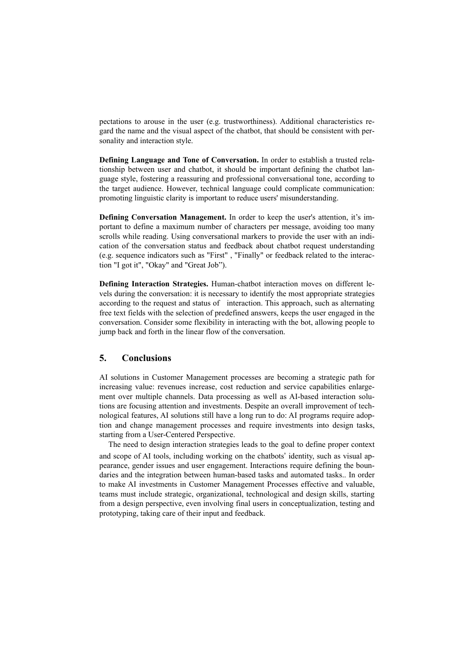pectations to arouse in the user (e.g. trustworthiness). Additional characteristics regard the name and the visual aspect of the chatbot, that should be consistent with personality and interaction style.

**Defining Language and Tone of Conversation.** In order to establish a trusted relationship between user and chatbot, it should be important defining the chatbot language style, fostering a reassuring and professional conversational tone, according to the target audience. However, technical language could complicate communication: promoting linguistic clarity is important to reduce users' misunderstanding.

**Defining Conversation Management.** In order to keep the user's attention, it's important to define a maximum number of characters per message, avoiding too many scrolls while reading. Using conversational markers to provide the user with an indication of the conversation status and feedback about chatbot request understanding (e.g. sequence indicators such as "First" , "Finally" or feedback related to the interaction "I got it", "Okay" and "Great Job").

**Defining Interaction Strategies.** Human-chatbot interaction moves on different levels during the conversation: it is necessary to identify the most appropriate strategies according to the request and status of interaction. This approach, such as alternating free text fields with the selection of predefined answers, keeps the user engaged in the conversation. Consider some flexibility in interacting with the bot, allowing people to jump back and forth in the linear flow of the conversation.

# **5. Conclusions**

AI solutions in Customer Management processes are becoming a strategic path for increasing value: revenues increase, cost reduction and service capabilities enlargement over multiple channels. Data processing as well as AI-based interaction solutions are focusing attention and investments. Despite an overall improvement of technological features, AI solutions still have a long run to do: AI programs require adoption and change management processes and require investments into design tasks, starting from a User-Centered Perspective.

The need to design interaction strategies leads to the goal to define proper context and scope of AI tools, including working on the chatbots' identity, such as visual appearance, gender issues and user engagement. Interactions require defining the boundaries and the integration between human-based tasks and automated tasks.. In order to make AI investments in Customer Management Processes effective and valuable, teams must include strategic, organizational, technological and design skills, starting from a design perspective, even involving final users in conceptualization, testing and prototyping, taking care of their input and feedback.